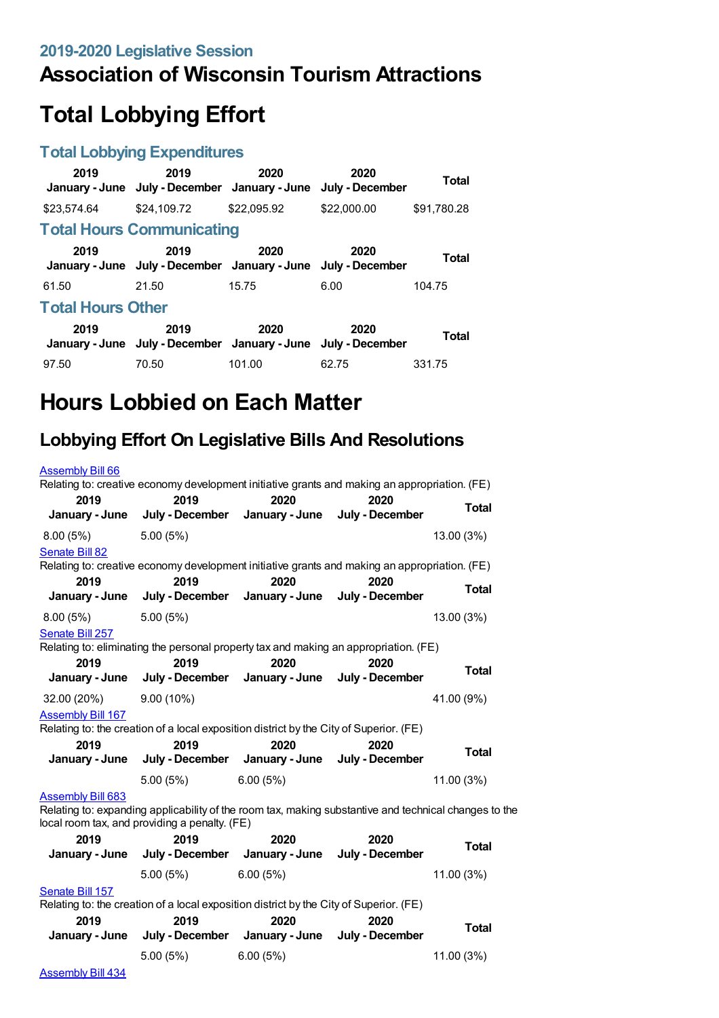# **Association of Wisconsin Tourism Attractions**

# **Total Lobbying Effort**

#### **Total Lobbying Expenditures**

| 2019                     | 2019<br>January - June July - December January - June | 2020        | 2020<br>July - December | Total       |
|--------------------------|-------------------------------------------------------|-------------|-------------------------|-------------|
| \$23.574.64              | \$24,109.72                                           | \$22,095.92 | \$22,000.00             | \$91,780.28 |
|                          | <b>Total Hours Communicating</b>                      |             |                         |             |
| 2019                     | 2019<br>January - June July - December January - June | 2020        | 2020<br>July - December | Total       |
| 61.50                    | 21.50                                                 | 15.75       | 6.00                    | 104.75      |
| <b>Total Hours Other</b> |                                                       |             |                         |             |
| 2019                     | 2019<br>January - June July - December January - June | 2020        | 2020<br>July - December | Total       |
| 97.50                    | 70.50                                                 | 101.00      | 62.75                   | 331.75      |

# **Hours Lobbied on Each Matter**

## **Lobbying Effort On Legislative Bills And Resolutions**

| <b>Assembly Bill 66</b>                                                                                                                                                            | Relating to: creative economy development initiative grants and making an appropriation. (FE)         |                                |                 |              |  |
|------------------------------------------------------------------------------------------------------------------------------------------------------------------------------------|-------------------------------------------------------------------------------------------------------|--------------------------------|-----------------|--------------|--|
| 2019                                                                                                                                                                               | 2019                                                                                                  | 2020                           | 2020            |              |  |
| January - June                                                                                                                                                                     | July - December                                                                                       | January - June                 | July - December | <b>Total</b> |  |
| 8.00(5%)                                                                                                                                                                           | 5.00(5%)                                                                                              |                                |                 | 13.00 (3%)   |  |
| Senate Bill 82                                                                                                                                                                     |                                                                                                       |                                |                 |              |  |
| 2019                                                                                                                                                                               | Relating to: creative economy development initiative grants and making an appropriation. (FE)<br>2019 | 2020                           | 2020            |              |  |
| January - June                                                                                                                                                                     | July - December                                                                                       | January - June                 | July - December | <b>Total</b> |  |
| 8.00(5%)                                                                                                                                                                           | 5.00 (5%)                                                                                             |                                |                 | 13.00 (3%)   |  |
| Senate Bill 257                                                                                                                                                                    |                                                                                                       |                                |                 |              |  |
|                                                                                                                                                                                    | Relating to: eliminating the personal property tax and making an appropriation. (FE)                  |                                |                 |              |  |
| 2019                                                                                                                                                                               | 2019                                                                                                  | 2020                           | 2020            | <b>Total</b> |  |
| January - June                                                                                                                                                                     | July - December                                                                                       | January - June                 | July - December |              |  |
| 32.00 (20%)                                                                                                                                                                        | $9.00(10\%)$                                                                                          |                                |                 | 41.00 (9%)   |  |
| <b>Assembly Bill 167</b>                                                                                                                                                           |                                                                                                       |                                |                 |              |  |
|                                                                                                                                                                                    | Relating to: the creation of a local exposition district by the City of Superior. (FE)                |                                |                 |              |  |
| 2019                                                                                                                                                                               | 2019                                                                                                  | 2020                           | 2020            | <b>Total</b> |  |
| January - June                                                                                                                                                                     | July - December                                                                                       | January - June                 | July - December |              |  |
|                                                                                                                                                                                    | 5.00(5%)                                                                                              | 6.00(5%)                       |                 | 11.00 (3%)   |  |
| <b>Assembly Bill 683</b><br>Relating to: expanding applicability of the room tax, making substantive and technical changes to the<br>local room tax, and providing a penalty. (FE) |                                                                                                       |                                |                 |              |  |
| 2019                                                                                                                                                                               | 2019                                                                                                  | 2020                           | 2020            | Total        |  |
| January - June                                                                                                                                                                     | July - December                                                                                       | January - June                 | July - December |              |  |
|                                                                                                                                                                                    | 5.00(5%)                                                                                              | 6.00(5%)                       |                 | 11.00 (3%)   |  |
| Senate Bill 157<br>Relating to: the creation of a local exposition district by the City of Superior. (FE)                                                                          |                                                                                                       |                                |                 |              |  |
| 2019                                                                                                                                                                               | 2019                                                                                                  | 2020                           | 2020            |              |  |
| January - June                                                                                                                                                                     |                                                                                                       | July - December January - June | July - December | <b>Total</b> |  |
|                                                                                                                                                                                    | 5.00 (5%)                                                                                             | 6.00(5%)                       |                 | 11.00 (3%)   |  |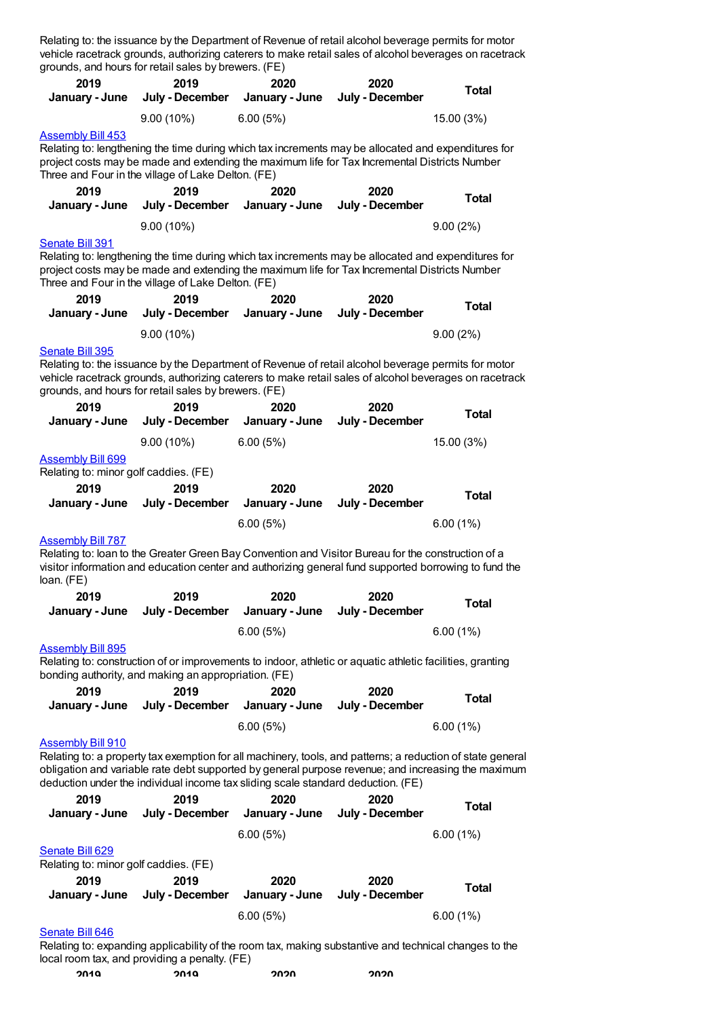|                                                                   | grounds, and hours for retail sales by brewers. (FE)                             |                                        | Relating to: the issuance by the Department of Revenue of retail alcohol beverage permits for motor<br>vehicle racetrack grounds, authorizing caterers to make retail sales of alcohol beverages on racetrack         |                                                                                                                                                                                                                  |
|-------------------------------------------------------------------|----------------------------------------------------------------------------------|----------------------------------------|-----------------------------------------------------------------------------------------------------------------------------------------------------------------------------------------------------------------------|------------------------------------------------------------------------------------------------------------------------------------------------------------------------------------------------------------------|
| 2019<br>January - June                                            | 2019<br>July - December                                                          | 2020<br>January - June                 | 2020<br>July - December                                                                                                                                                                                               | <b>Total</b>                                                                                                                                                                                                     |
|                                                                   | $9.00(10\%)$                                                                     | 6.00(5%)                               |                                                                                                                                                                                                                       | 15.00 (3%)                                                                                                                                                                                                       |
| <b>Assembly Bill 453</b>                                          |                                                                                  |                                        |                                                                                                                                                                                                                       |                                                                                                                                                                                                                  |
|                                                                   | Three and Four in the village of Lake Delton. (FE)                               |                                        | Relating to: lengthening the time during which tax increments may be allocated and expenditures for<br>project costs may be made and extending the maximum life for Tax Incremental Districts Number                  |                                                                                                                                                                                                                  |
| 2019                                                              | 2019                                                                             | 2020                                   | 2020                                                                                                                                                                                                                  | <b>Total</b>                                                                                                                                                                                                     |
| January - June                                                    | July - December                                                                  | January - June                         | July - December                                                                                                                                                                                                       |                                                                                                                                                                                                                  |
|                                                                   | $9.00(10\%)$                                                                     |                                        |                                                                                                                                                                                                                       | 9.00(2%)                                                                                                                                                                                                         |
| Senate Bill 391                                                   | Three and Four in the village of Lake Delton. (FE)                               |                                        | Relating to: lengthening the time during which tax increments may be allocated and expenditures for<br>project costs may be made and extending the maximum life for Tax Incremental Districts Number                  |                                                                                                                                                                                                                  |
| 2019                                                              | 2019                                                                             | 2020                                   | 2020                                                                                                                                                                                                                  | <b>Total</b>                                                                                                                                                                                                     |
| January - June                                                    | July - December                                                                  | January - June                         | July - December                                                                                                                                                                                                       |                                                                                                                                                                                                                  |
|                                                                   | $9.00(10\%)$                                                                     |                                        |                                                                                                                                                                                                                       | 9.00(2%)                                                                                                                                                                                                         |
| <b>Senate Bill 395</b><br>2019                                    | grounds, and hours for retail sales by brewers. (FE)<br>2019                     | 2020                                   | Relating to: the issuance by the Department of Revenue of retail alcohol beverage permits for motor<br>vehicle racetrack grounds, authorizing caterers to make retail sales of alcohol beverages on racetrack<br>2020 | <b>Total</b>                                                                                                                                                                                                     |
| January - June                                                    | July - December                                                                  | January - June                         | July - December                                                                                                                                                                                                       |                                                                                                                                                                                                                  |
|                                                                   | $9.00(10\%)$                                                                     | 6.00(5%)                               |                                                                                                                                                                                                                       | 15.00 (3%)                                                                                                                                                                                                       |
| <b>Assembly Bill 699</b><br>Relating to: minor golf caddies. (FE) |                                                                                  |                                        |                                                                                                                                                                                                                       |                                                                                                                                                                                                                  |
| 2019                                                              | 2019                                                                             | 2020                                   | 2020                                                                                                                                                                                                                  | <b>Total</b>                                                                                                                                                                                                     |
| January - June                                                    | July - December                                                                  | January - June                         | July - December                                                                                                                                                                                                       |                                                                                                                                                                                                                  |
|                                                                   |                                                                                  | 6.00(5%)                               |                                                                                                                                                                                                                       | 6.00(1%)                                                                                                                                                                                                         |
| <b>Assembly Bill 787</b><br>loan. $(FE)$                          |                                                                                  |                                        | Relating to: loan to the Greater Green Bay Convention and Visitor Bureau for the construction of a<br>visitor information and education center and authorizing general fund supported borrowing to fund the           |                                                                                                                                                                                                                  |
| 2019                                                              | 2019                                                                             | 2020                                   | 2020                                                                                                                                                                                                                  | <b>Total</b>                                                                                                                                                                                                     |
| January - June                                                    | July - December                                                                  | January - June                         | July - December                                                                                                                                                                                                       |                                                                                                                                                                                                                  |
|                                                                   |                                                                                  | 6.00(5%)                               |                                                                                                                                                                                                                       | 6.00(1%)                                                                                                                                                                                                         |
| <b>Assembly Bill 895</b>                                          | bonding authority, and making an appropriation. (FE)                             |                                        | Relating to: construction of or improvements to indoor, athletic or aquatic athletic facilities, granting                                                                                                             |                                                                                                                                                                                                                  |
| 2019<br>January - June                                            | 2019<br>July - December                                                          | 2020<br>January - June                 | 2020<br>July - December                                                                                                                                                                                               | <b>Total</b>                                                                                                                                                                                                     |
|                                                                   |                                                                                  | 6.00(5%)                               |                                                                                                                                                                                                                       | 6.00(1%)                                                                                                                                                                                                         |
| <b>Assembly Bill 910</b>                                          |                                                                                  |                                        |                                                                                                                                                                                                                       |                                                                                                                                                                                                                  |
|                                                                   | deduction under the individual income tax sliding scale standard deduction. (FE) |                                        |                                                                                                                                                                                                                       | Relating to: a property tax exemption for all machinery, tools, and patterns; a reduction of state general<br>obligation and variable rate debt supported by general purpose revenue; and increasing the maximum |
| 2019<br>January - June                                            | 2019                                                                             | 2020<br>July - December January - June | 2020<br>July - December                                                                                                                                                                                               | <b>Total</b>                                                                                                                                                                                                     |
|                                                                   |                                                                                  |                                        |                                                                                                                                                                                                                       |                                                                                                                                                                                                                  |
| Senate Bill 629                                                   |                                                                                  | 6.00(5%)                               |                                                                                                                                                                                                                       | 6.00(1%)                                                                                                                                                                                                         |
| Relating to: minor golf caddies. (FE)                             |                                                                                  |                                        |                                                                                                                                                                                                                       |                                                                                                                                                                                                                  |
| 2019                                                              | 2019                                                                             | 2020                                   | 2020                                                                                                                                                                                                                  |                                                                                                                                                                                                                  |
| January - June                                                    | July - December                                                                  | January - June                         | July - December                                                                                                                                                                                                       | <b>Total</b>                                                                                                                                                                                                     |
|                                                                   |                                                                                  | 6.00(5%)                               |                                                                                                                                                                                                                       | 6.00(1%)                                                                                                                                                                                                         |
| Senate Bill 646                                                   |                                                                                  |                                        |                                                                                                                                                                                                                       |                                                                                                                                                                                                                  |
|                                                                   |                                                                                  |                                        | Polating to: expanding applicability of the room tax making substantive and technical changes to the                                                                                                                  |                                                                                                                                                                                                                  |

Relating to: expanding applicability of the room tax, making substantive and technical changes to the local room tax, and providing a penalty. (FE)

| 2010 | 2010 | つのつの | つのつの |
|------|------|------|------|
|      |      |      |      |
|      |      |      |      |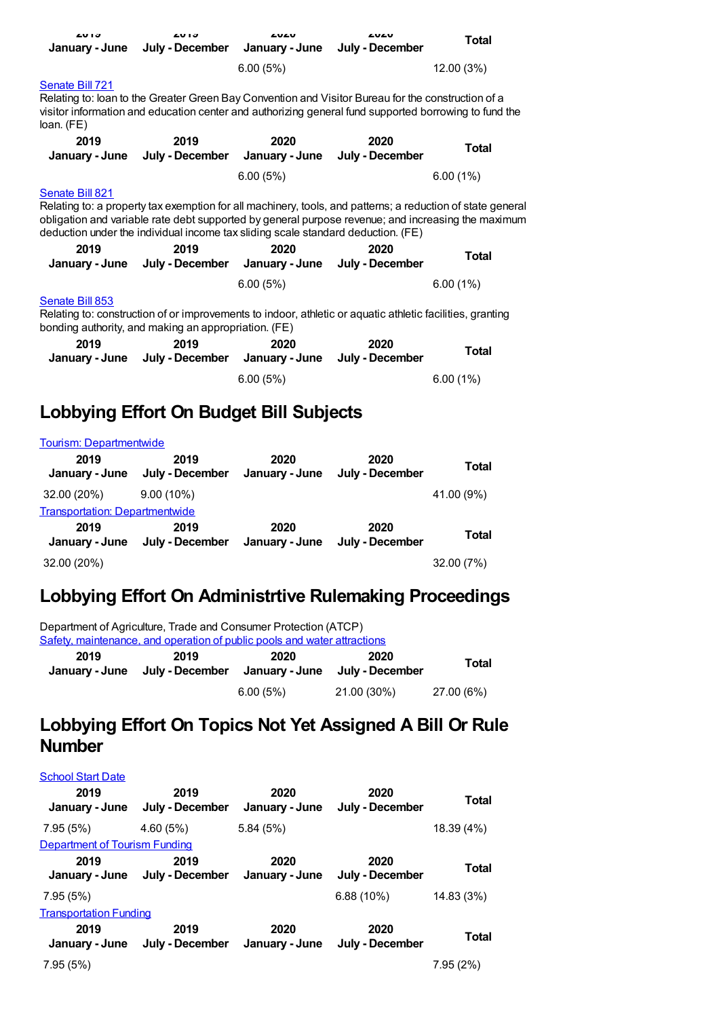| <b>LUIJ</b><br>January - June                                                                                                                                                                                                                                                                                           | <b>LU 13</b><br>July - December        | LULU<br>January - June | LULU<br>July - December | Total      |  |
|-------------------------------------------------------------------------------------------------------------------------------------------------------------------------------------------------------------------------------------------------------------------------------------------------------------------------|----------------------------------------|------------------------|-------------------------|------------|--|
|                                                                                                                                                                                                                                                                                                                         |                                        | 6.00(5%)               |                         | 12.00 (3%) |  |
| Senate Bill 721<br>Relating to: loan to the Greater Green Bay Convention and Visitor Bureau for the construction of a<br>visitor information and education center and authorizing general fund supported borrowing to fund the<br>loan. (FE)                                                                            |                                        |                        |                         |            |  |
| 2019<br>January - June                                                                                                                                                                                                                                                                                                  | 2019<br>July - December January - June | 2020                   | 2020<br>July - December | Total      |  |
|                                                                                                                                                                                                                                                                                                                         |                                        | 6.00(5%)               |                         | 6.00(1%)   |  |
| Senate Bill 821<br>Relating to: a property tax exemption for all machinery, tools, and patterns; a reduction of state general<br>obligation and variable rate debt supported by general purpose revenue; and increasing the maximum<br>deduction under the individual income tax sliding scale standard deduction. (FE) |                                        |                        |                         |            |  |
| 2019<br>January - June                                                                                                                                                                                                                                                                                                  | 2019<br>July - December January - June | 2020                   | 2020<br>July - December | Total      |  |
|                                                                                                                                                                                                                                                                                                                         |                                        | 6.00(5%)               |                         | 6.00(1%)   |  |
| Senate Bill 853<br>Relating to: construction of or improvements to indoor, athletic or aquatic athletic facilities, granting<br>bonding authority, and making an appropriation. (FE)                                                                                                                                    |                                        |                        |                         |            |  |
| 2019<br>January - June                                                                                                                                                                                                                                                                                                  | 2019<br>July - December January - June | 2020                   | 2020<br>July - December | Total      |  |
|                                                                                                                                                                                                                                                                                                                         |                                        | 6.00(5%)               |                         | 6.00(1%)   |  |

### **Lobbying Effort On Budget Bill Subjects**

| <b>Tourism: Departmentwide</b>        |                         |                        |                         |            |
|---------------------------------------|-------------------------|------------------------|-------------------------|------------|
| 2019<br>January - June                | 2019<br>July - December | 2020<br>January - June | 2020<br>July - December | Total      |
| 32.00 (20%)                           | $9.00(10\%)$            |                        |                         | 41.00 (9%) |
| <b>Transportation: Departmentwide</b> |                         |                        |                         |            |
| 2019<br>January - June                | 2019<br>July - December | 2020<br>January - June | 2020<br>July - December | Total      |
| 32.00 (20%)                           |                         |                        |                         | 32.00 (7%) |

### **Lobbying Effort On Administrtive Rulemaking Proceedings**

Department of Agriculture, Trade and Consumer Protection (ATCP) Safety, [maintenance,](https://lobbying.wi.gov/What/AdministrativeRuleInformation/2019REG/Information/7884?tab=Efforts) and operation of public pools and water attractions

| 2019 | 2019 | 2020     | 2020<br>January - June July - December January - June July - December | Total      |
|------|------|----------|-----------------------------------------------------------------------|------------|
|      |      | 6.00(5%) | 21.00 (30%)                                                           | 27.00 (6%) |

## **Lobbying Effort On Topics Not Yet Assigned A Bill Or Rule Number**

| <b>School Start Date</b>      |                         |                        |                         |            |
|-------------------------------|-------------------------|------------------------|-------------------------|------------|
| 2019<br>January - June        | 2019<br>July - December | 2020<br>January - June | 2020<br>July - December | Total      |
| 7.95(5%)                      | 4.60(5%)                | 5.84(5%)               |                         | 18.39 (4%) |
| Department of Tourism Funding |                         |                        |                         |            |
| 2019<br>January - June        | 2019<br>July - December | 2020<br>January - June | 2020<br>July - December | Total      |
| 7.95(5%)                      |                         |                        | $6.88(10\%)$            | 14.83 (3%) |
| <b>Transportation Funding</b> |                         |                        |                         |            |
| 2019<br>January - June        | 2019<br>July - December | 2020<br>January - June | 2020<br>July - December | Total      |
| 7.95(5%)                      |                         |                        |                         | 7.95(2%)   |